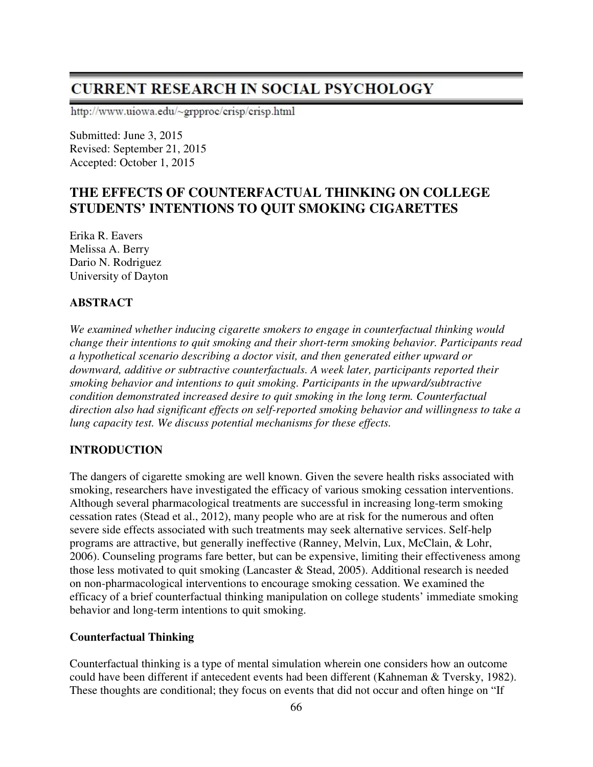# **CURRENT RESEARCH IN SOCIAL PSYCHOLOGY**

http://www.uiowa.edu/~grpproc/crisp/crisp.html

Submitted: June 3, 2015 Revised: September 21, 2015 Accepted: October 1, 2015

# **THE EFFECTS OF COUNTERFACTUAL THINKING ON COLLEGE STUDENTS' INTENTIONS TO QUIT SMOKING CIGARETTES**

Erika R. Eavers Melissa A. Berry Dario N. Rodriguez University of Dayton

# **ABSTRACT**

*We examined whether inducing cigarette smokers to engage in counterfactual thinking would change their intentions to quit smoking and their short-term smoking behavior. Participants read a hypothetical scenario describing a doctor visit, and then generated either upward or downward, additive or subtractive counterfactuals. A week later, participants reported their smoking behavior and intentions to quit smoking. Participants in the upward/subtractive condition demonstrated increased desire to quit smoking in the long term. Counterfactual direction also had significant effects on self-reported smoking behavior and willingness to take a lung capacity test. We discuss potential mechanisms for these effects.* 

# **INTRODUCTION**

The dangers of cigarette smoking are well known. Given the severe health risks associated with smoking, researchers have investigated the efficacy of various smoking cessation interventions. Although several pharmacological treatments are successful in increasing long-term smoking cessation rates (Stead et al., 2012), many people who are at risk for the numerous and often severe side effects associated with such treatments may seek alternative services. Self-help programs are attractive, but generally ineffective (Ranney, Melvin, Lux, McClain, & Lohr, 2006). Counseling programs fare better, but can be expensive, limiting their effectiveness among those less motivated to quit smoking (Lancaster & Stead, 2005). Additional research is needed on non-pharmacological interventions to encourage smoking cessation. We examined the efficacy of a brief counterfactual thinking manipulation on college students' immediate smoking behavior and long-term intentions to quit smoking.

### **Counterfactual Thinking**

Counterfactual thinking is a type of mental simulation wherein one considers how an outcome could have been different if antecedent events had been different (Kahneman & Tversky, 1982). These thoughts are conditional; they focus on events that did not occur and often hinge on "If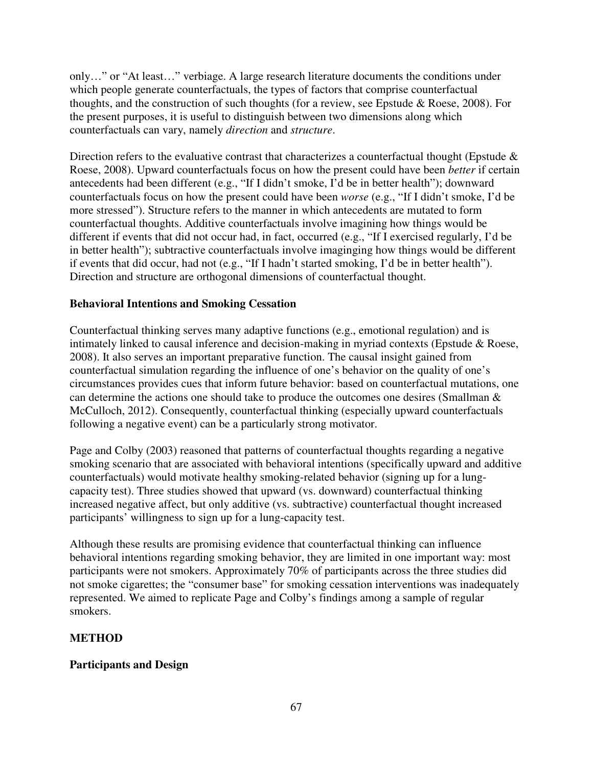only…" or "At least…" verbiage. A large research literature documents the conditions under which people generate counterfactuals, the types of factors that comprise counterfactual thoughts, and the construction of such thoughts (for a review, see Epstude & Roese, 2008). For the present purposes, it is useful to distinguish between two dimensions along which counterfactuals can vary, namely *direction* and *structure*.

Direction refers to the evaluative contrast that characterizes a counterfactual thought (Epstude  $\&$ Roese, 2008). Upward counterfactuals focus on how the present could have been *better* if certain antecedents had been different (e.g., "If I didn't smoke, I'd be in better health"); downward counterfactuals focus on how the present could have been *worse* (e.g., "If I didn't smoke, I'd be more stressed"). Structure refers to the manner in which antecedents are mutated to form counterfactual thoughts. Additive counterfactuals involve imagining how things would be different if events that did not occur had, in fact, occurred (e.g., "If I exercised regularly, I'd be in better health"); subtractive counterfactuals involve imaginging how things would be different if events that did occur, had not (e.g., "If I hadn't started smoking, I'd be in better health"). Direction and structure are orthogonal dimensions of counterfactual thought.

### **Behavioral Intentions and Smoking Cessation**

Counterfactual thinking serves many adaptive functions (e.g., emotional regulation) and is intimately linked to causal inference and decision-making in myriad contexts (Epstude & Roese, 2008). It also serves an important preparative function. The causal insight gained from counterfactual simulation regarding the influence of one's behavior on the quality of one's circumstances provides cues that inform future behavior: based on counterfactual mutations, one can determine the actions one should take to produce the outcomes one desires (Smallman & McCulloch, 2012). Consequently, counterfactual thinking (especially upward counterfactuals following a negative event) can be a particularly strong motivator.

Page and Colby (2003) reasoned that patterns of counterfactual thoughts regarding a negative smoking scenario that are associated with behavioral intentions (specifically upward and additive counterfactuals) would motivate healthy smoking-related behavior (signing up for a lungcapacity test). Three studies showed that upward (vs. downward) counterfactual thinking increased negative affect, but only additive (vs. subtractive) counterfactual thought increased participants' willingness to sign up for a lung-capacity test.

Although these results are promising evidence that counterfactual thinking can influence behavioral intentions regarding smoking behavior, they are limited in one important way: most participants were not smokers. Approximately 70% of participants across the three studies did not smoke cigarettes; the "consumer base" for smoking cessation interventions was inadequately represented. We aimed to replicate Page and Colby's findings among a sample of regular smokers.

### **METHOD**

### **Participants and Design**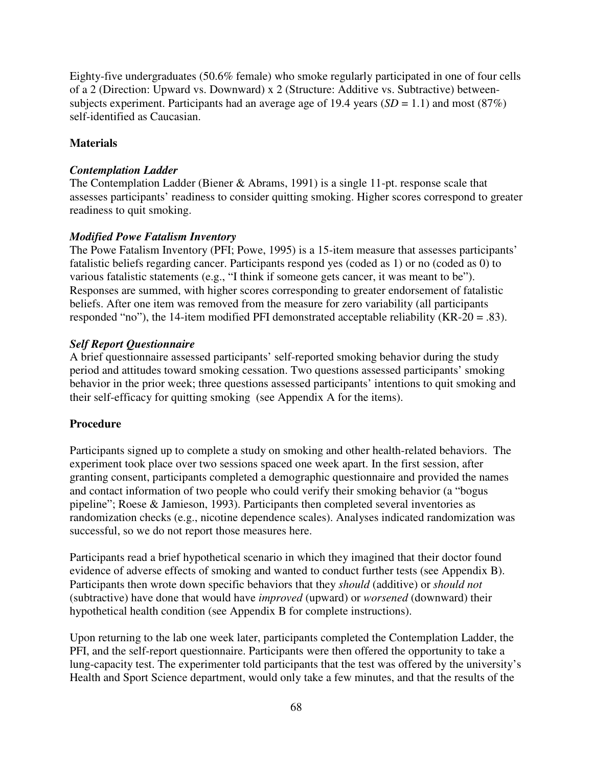Eighty-five undergraduates (50.6% female) who smoke regularly participated in one of four cells of a 2 (Direction: Upward vs. Downward) x 2 (Structure: Additive vs. Subtractive) betweensubjects experiment. Participants had an average age of 19.4 years  $(SD = 1.1)$  and most  $(87%)$ self-identified as Caucasian.

# **Materials**

### *Contemplation Ladder*

The Contemplation Ladder (Biener & Abrams, 1991) is a single 11-pt. response scale that assesses participants' readiness to consider quitting smoking. Higher scores correspond to greater readiness to quit smoking.

### *Modified Powe Fatalism Inventory*

The Powe Fatalism Inventory (PFI; Powe, 1995) is a 15-item measure that assesses participants' fatalistic beliefs regarding cancer. Participants respond yes (coded as 1) or no (coded as 0) to various fatalistic statements (e.g., "I think if someone gets cancer, it was meant to be"). Responses are summed, with higher scores corresponding to greater endorsement of fatalistic beliefs. After one item was removed from the measure for zero variability (all participants responded "no"), the 14-item modified PFI demonstrated acceptable reliability (KR-20 = .83).

### *Self Report Questionnaire*

A brief questionnaire assessed participants' self-reported smoking behavior during the study period and attitudes toward smoking cessation. Two questions assessed participants' smoking behavior in the prior week; three questions assessed participants' intentions to quit smoking and their self-efficacy for quitting smoking (see Appendix A for the items).

### **Procedure**

Participants signed up to complete a study on smoking and other health-related behaviors. The experiment took place over two sessions spaced one week apart. In the first session, after granting consent, participants completed a demographic questionnaire and provided the names and contact information of two people who could verify their smoking behavior (a "bogus pipeline"; Roese & Jamieson, 1993). Participants then completed several inventories as randomization checks (e.g., nicotine dependence scales). Analyses indicated randomization was successful, so we do not report those measures here.

Participants read a brief hypothetical scenario in which they imagined that their doctor found evidence of adverse effects of smoking and wanted to conduct further tests (see Appendix B). Participants then wrote down specific behaviors that they *should* (additive) or *should not* (subtractive) have done that would have *improved* (upward) or *worsened* (downward) their hypothetical health condition (see Appendix B for complete instructions).

Upon returning to the lab one week later, participants completed the Contemplation Ladder, the PFI, and the self-report questionnaire. Participants were then offered the opportunity to take a lung-capacity test. The experimenter told participants that the test was offered by the university's Health and Sport Science department, would only take a few minutes, and that the results of the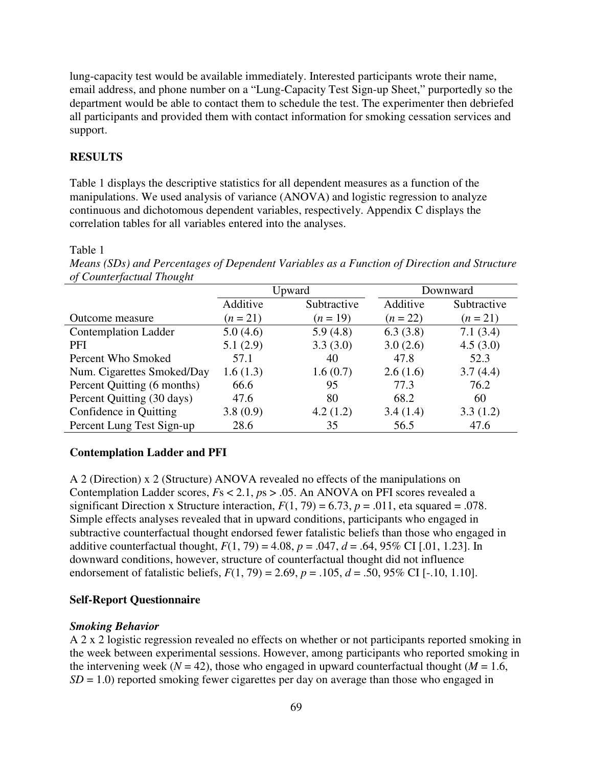lung-capacity test would be available immediately. Interested participants wrote their name, email address, and phone number on a "Lung-Capacity Test Sign-up Sheet," purportedly so the department would be able to contact them to schedule the test. The experimenter then debriefed all participants and provided them with contact information for smoking cessation services and support.

### **RESULTS**

Table 1 displays the descriptive statistics for all dependent measures as a function of the manipulations. We used analysis of variance (ANOVA) and logistic regression to analyze continuous and dichotomous dependent variables, respectively. Appendix C displays the correlation tables for all variables entered into the analyses.

Table 1

*Means (SDs) and Percentages of Dependent Variables as a Function of Direction and Structure of Counterfactual Thought* 

|                             | Upward     |             | Downward   |             |  |
|-----------------------------|------------|-------------|------------|-------------|--|
|                             | Additive   | Subtractive | Additive   | Subtractive |  |
| Outcome measure             | $(n = 21)$ | $(n = 19)$  | $(n = 22)$ | $(n = 21)$  |  |
| <b>Contemplation Ladder</b> | 5.0(4.6)   | 5.9(4.8)    | 6.3(3.8)   | 7.1(3.4)    |  |
| PFI                         | 5.1(2.9)   | 3.3(3.0)    | 3.0(2.6)   | 4.5(3.0)    |  |
| Percent Who Smoked          | 57.1       | 40          | 47.8       | 52.3        |  |
| Num. Cigarettes Smoked/Day  | 1.6(1.3)   | 1.6(0.7)    | 2.6(1.6)   | 3.7(4.4)    |  |
| Percent Quitting (6 months) | 66.6       | 95          | 77.3       | 76.2        |  |
| Percent Quitting (30 days)  | 47.6       | 80          | 68.2       | 60          |  |
| Confidence in Quitting      | 3.8(0.9)   | 4.2(1.2)    | 3.4(1.4)   | 3.3(1.2)    |  |
| Percent Lung Test Sign-up   | 28.6       | 35          | 56.5       | 47.6        |  |

#### **Contemplation Ladder and PFI**

A 2 (Direction) x 2 (Structure) ANOVA revealed no effects of the manipulations on Contemplation Ladder scores, *F*s < 2.1, *p*s > .05. An ANOVA on PFI scores revealed a significant Direction x Structure interaction,  $F(1, 79) = 6.73$ ,  $p = .011$ , eta squared = .078. Simple effects analyses revealed that in upward conditions, participants who engaged in subtractive counterfactual thought endorsed fewer fatalistic beliefs than those who engaged in additive counterfactual thought,  $F(1, 79) = 4.08$ ,  $p = .047$ ,  $d = .64$ , 95% CI [.01, 1.23]. In downward conditions, however, structure of counterfactual thought did not influence endorsement of fatalistic beliefs, *F*(1, 79) = 2.69, *p* = .105, *d* = .50, 95% CI [-.10, 1.10].

#### **Self-Report Questionnaire**

#### *Smoking Behavior*

A 2 x 2 logistic regression revealed no effects on whether or not participants reported smoking in the week between experimental sessions. However, among participants who reported smoking in the intervening week ( $N = 42$ ), those who engaged in upward counterfactual thought ( $M = 1.6$ ,  $SD = 1.0$ ) reported smoking fewer cigarettes per day on average than those who engaged in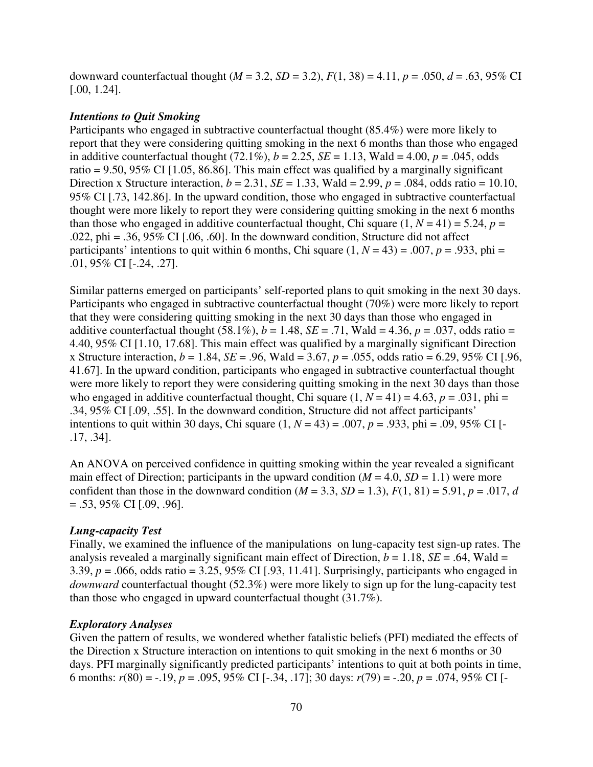downward counterfactual thought  $(M = 3.2, SD = 3.2), F(1, 38) = 4.11, p = .050, d = .63, 95\% \text{ CI}$ [.00, 1.24].

#### *Intentions to Quit Smoking*

Participants who engaged in subtractive counterfactual thought (85.4%) were more likely to report that they were considering quitting smoking in the next 6 months than those who engaged in additive counterfactual thought (72.1%),  $b = 2.25$ ,  $SE = 1.13$ , Wald = 4.00,  $p = .045$ , odds ratio =  $9.50$ ,  $95\%$  CI [1.05, 86.86]. This main effect was qualified by a marginally significant Direction x Structure interaction,  $b = 2.31$ ,  $SE = 1.33$ , Wald = 2.99,  $p = .084$ , odds ratio = 10.10, 95% CI [.73, 142.86]. In the upward condition, those who engaged in subtractive counterfactual thought were more likely to report they were considering quitting smoking in the next 6 months than those who engaged in additive counterfactual thought, Chi square  $(1, N = 41) = 5.24$ ,  $p =$ .022, phi = .36, 95% CI  $[0.06, 0.60]$ . In the downward condition, Structure did not affect participants' intentions to quit within 6 months, Chi square  $(1, N = 43) = .007$ ,  $p = .933$ , phi = .01, 95% CI [-.24, .27].

Similar patterns emerged on participants' self-reported plans to quit smoking in the next 30 days. Participants who engaged in subtractive counterfactual thought (70%) were more likely to report that they were considering quitting smoking in the next 30 days than those who engaged in additive counterfactual thought  $(58.1\%)$ ,  $b = 1.48$ ,  $SE = .71$ , Wald = 4.36,  $p = .037$ , odds ratio = 4.40, 95% CI [1.10, 17.68]. This main effect was qualified by a marginally significant Direction x Structure interaction,  $b = 1.84$ ,  $SE = .96$ , Wald = 3.67,  $p = .055$ , odds ratio = 6.29, 95% CI [.96, 41.67]. In the upward condition, participants who engaged in subtractive counterfactual thought were more likely to report they were considering quitting smoking in the next 30 days than those who engaged in additive counterfactual thought, Chi square  $(1, N = 41) = 4.63$ ,  $p = .031$ , phi .34, 95% CI [.09, .55]. In the downward condition, Structure did not affect participants' intentions to quit within 30 days, Chi square  $(1, N = 43) = .007$ ,  $p = .933$ , phi = .09, 95% CI [-.17, .34].

An ANOVA on perceived confidence in quitting smoking within the year revealed a significant main effect of Direction; participants in the upward condition  $(M = 4.0, SD = 1.1)$  were more confident than those in the downward condition  $(M = 3.3, SD = 1.3)$ ,  $F(1, 81) = 5.91$ ,  $p = .017$ , *d*  $= .53,95\%$  CI [.09, .96].

#### *Lung-capacity Test*

Finally, we examined the influence of the manipulations on lung-capacity test sign-up rates. The analysis revealed a marginally significant main effect of Direction,  $b = 1.18$ ,  $SE = .64$ , Wald = 3.39,  $p = .066$ , odds ratio = 3.25, 95% CI [.93, 11.41]. Surprisingly, participants who engaged in *downward* counterfactual thought (52.3%) were more likely to sign up for the lung-capacity test than those who engaged in upward counterfactual thought (31.7%).

#### *Exploratory Analyses*

Given the pattern of results, we wondered whether fatalistic beliefs (PFI) mediated the effects of the Direction x Structure interaction on intentions to quit smoking in the next 6 months or 30 days. PFI marginally significantly predicted participants' intentions to quit at both points in time, 6 months:  $r(80) = -.19$ ,  $p = .095$ ,  $95\%$  CI [-.34, .17]; 30 days:  $r(79) = -.20$ ,  $p = .074$ ,  $95\%$  CI [-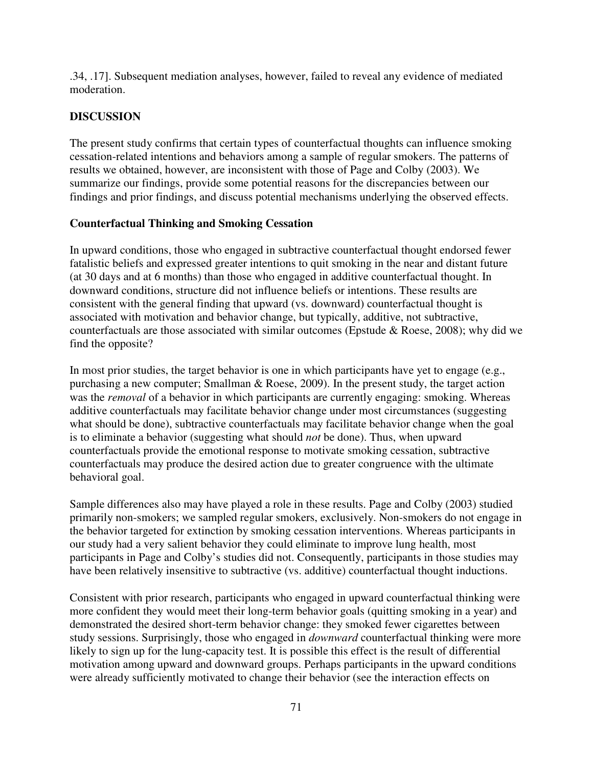.34, .17]. Subsequent mediation analyses, however, failed to reveal any evidence of mediated moderation.

# **DISCUSSION**

The present study confirms that certain types of counterfactual thoughts can influence smoking cessation-related intentions and behaviors among a sample of regular smokers. The patterns of results we obtained, however, are inconsistent with those of Page and Colby (2003). We summarize our findings, provide some potential reasons for the discrepancies between our findings and prior findings, and discuss potential mechanisms underlying the observed effects.

# **Counterfactual Thinking and Smoking Cessation**

In upward conditions, those who engaged in subtractive counterfactual thought endorsed fewer fatalistic beliefs and expressed greater intentions to quit smoking in the near and distant future (at 30 days and at 6 months) than those who engaged in additive counterfactual thought. In downward conditions, structure did not influence beliefs or intentions. These results are consistent with the general finding that upward (vs. downward) counterfactual thought is associated with motivation and behavior change, but typically, additive, not subtractive, counterfactuals are those associated with similar outcomes (Epstude & Roese, 2008); why did we find the opposite?

In most prior studies, the target behavior is one in which participants have yet to engage (e.g., purchasing a new computer; Smallman & Roese, 2009). In the present study, the target action was the *removal* of a behavior in which participants are currently engaging: smoking. Whereas additive counterfactuals may facilitate behavior change under most circumstances (suggesting what should be done), subtractive counterfactuals may facilitate behavior change when the goal is to eliminate a behavior (suggesting what should *not* be done). Thus, when upward counterfactuals provide the emotional response to motivate smoking cessation, subtractive counterfactuals may produce the desired action due to greater congruence with the ultimate behavioral goal.

Sample differences also may have played a role in these results. Page and Colby (2003) studied primarily non-smokers; we sampled regular smokers, exclusively. Non-smokers do not engage in the behavior targeted for extinction by smoking cessation interventions. Whereas participants in our study had a very salient behavior they could eliminate to improve lung health, most participants in Page and Colby's studies did not. Consequently, participants in those studies may have been relatively insensitive to subtractive (vs. additive) counterfactual thought inductions.

Consistent with prior research, participants who engaged in upward counterfactual thinking were more confident they would meet their long-term behavior goals (quitting smoking in a year) and demonstrated the desired short-term behavior change: they smoked fewer cigarettes between study sessions. Surprisingly, those who engaged in *downward* counterfactual thinking were more likely to sign up for the lung-capacity test. It is possible this effect is the result of differential motivation among upward and downward groups. Perhaps participants in the upward conditions were already sufficiently motivated to change their behavior (see the interaction effects on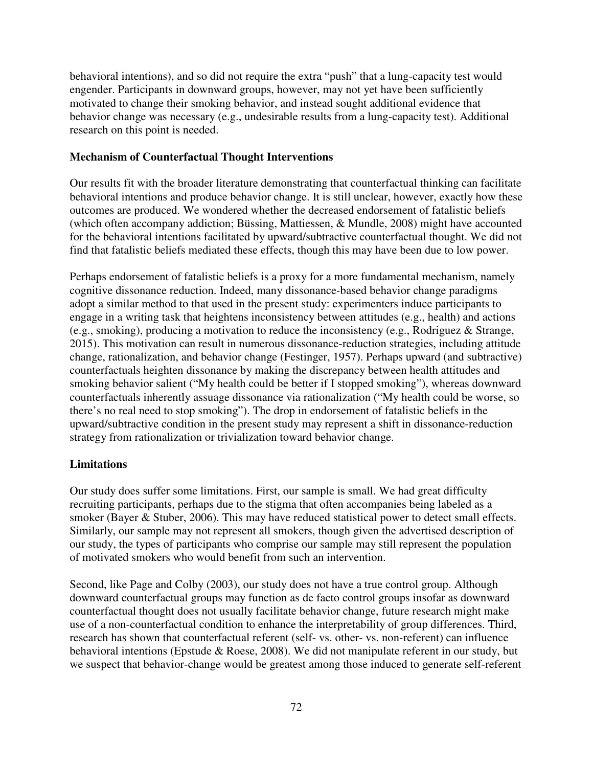behavioral intentions), and so did not require the extra "push" that a lung-capacity test would engender. Participants in downward groups, however, may not yet have been sufficiently motivated to change their smoking behavior, and instead sought additional evidence that behavior change was necessary (e.g., undesirable results from a lung-capacity test). Additional research on this point is needed.

### **Mechanism of Counterfactual Thought Interventions**

Our results fit with the broader literature demonstrating that counterfactual thinking can facilitate behavioral intentions and produce behavior change. It is still unclear, however, exactly how these outcomes are produced. We wondered whether the decreased endorsement of fatalistic beliefs (which often accompany addiction; Büssing, Mattiessen, & Mundle, 2008) might have accounted for the behavioral intentions facilitated by upward/subtractive counterfactual thought. We did not find that fatalistic beliefs mediated these effects, though this may have been due to low power.

Perhaps endorsement of fatalistic beliefs is a proxy for a more fundamental mechanism, namely cognitive dissonance reduction. Indeed, many dissonance-based behavior change paradigms adopt a similar method to that used in the present study: experimenters induce participants to engage in a writing task that heightens inconsistency between attitudes (e.g., health) and actions (e.g., smoking), producing a motivation to reduce the inconsistency (e.g., Rodriguez & Strange, 2015). This motivation can result in numerous dissonance-reduction strategies, including attitude change, rationalization, and behavior change (Festinger, 1957). Perhaps upward (and subtractive) counterfactuals heighten dissonance by making the discrepancy between health attitudes and smoking behavior salient ("My health could be better if I stopped smoking"), whereas downward counterfactuals inherently assuage dissonance via rationalization ("My health could be worse, so there's no real need to stop smoking"). The drop in endorsement of fatalistic beliefs in the upward/subtractive condition in the present study may represent a shift in dissonance-reduction strategy from rationalization or trivialization toward behavior change.

#### **Limitations**

Our study does suffer some limitations. First, our sample is small. We had great difficulty recruiting participants, perhaps due to the stigma that often accompanies being labeled as a smoker (Bayer & Stuber, 2006). This may have reduced statistical power to detect small effects. Similarly, our sample may not represent all smokers, though given the advertised description of our study, the types of participants who comprise our sample may still represent the population of motivated smokers who would benefit from such an intervention.

Second, like Page and Colby (2003), our study does not have a true control group. Although downward counterfactual groups may function as de facto control groups insofar as downward counterfactual thought does not usually facilitate behavior change, future research might make use of a non-counterfactual condition to enhance the interpretability of group differences. Third, research has shown that counterfactual referent (self- vs. other- vs. non-referent) can influence behavioral intentions (Epstude & Roese, 2008). We did not manipulate referent in our study, but we suspect that behavior-change would be greatest among those induced to generate self-referent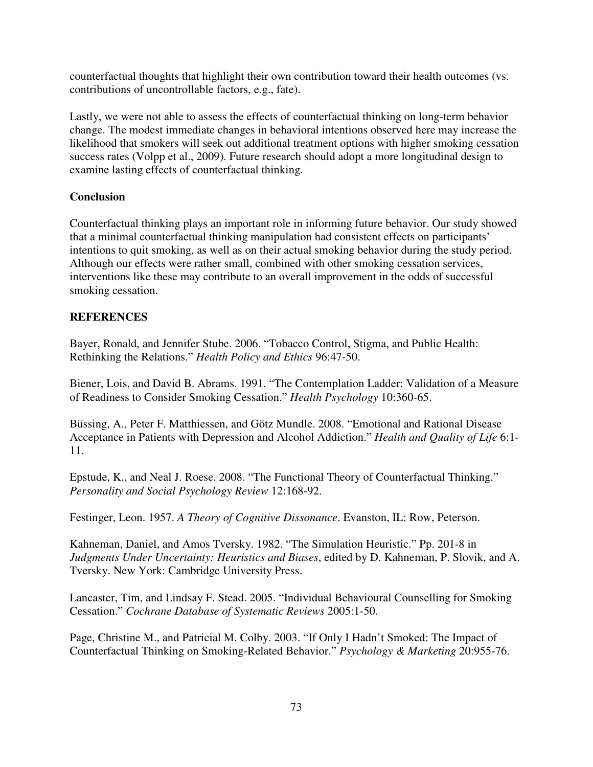counterfactual thoughts that highlight their own contribution toward their health outcomes (vs. contributions of uncontrollable factors, e.g., fate).

Lastly, we were not able to assess the effects of counterfactual thinking on long-term behavior change. The modest immediate changes in behavioral intentions observed here may increase the likelihood that smokers will seek out additional treatment options with higher smoking cessation success rates (Volpp et al., 2009). Future research should adopt a more longitudinal design to examine lasting effects of counterfactual thinking.

# **Conclusion**

Counterfactual thinking plays an important role in informing future behavior. Our study showed that a minimal counterfactual thinking manipulation had consistent effects on participants' intentions to quit smoking, as well as on their actual smoking behavior during the study period. Although our effects were rather small, combined with other smoking cessation services, interventions like these may contribute to an overall improvement in the odds of successful smoking cessation.

# **REFERENCES**

Bayer, Ronald, and Jennifer Stube. 2006. "Tobacco Control, Stigma, and Public Health: Rethinking the Relations." *Health Policy and Ethics* 96:47-50.

Biener, Lois, and David B. Abrams. 1991. "The Contemplation Ladder: Validation of a Measure of Readiness to Consider Smoking Cessation." *Health Psychology* 10:360-65.

Büssing, A., Peter F. Matthiessen, and Götz Mundle. 2008. "Emotional and Rational Disease Acceptance in Patients with Depression and Alcohol Addiction." *Health and Quality of Life* 6:1- 11.

Epstude, K., and Neal J. Roese. 2008. "The Functional Theory of Counterfactual Thinking." *Personality and Social Psychology Review* 12:168-92.

Festinger, Leon. 1957. *A Theory of Cognitive Dissonance*. Evanston, IL: Row, Peterson.

Kahneman, Daniel, and Amos Tversky. 1982. "The Simulation Heuristic." Pp. 201-8 in *Judgments Under Uncertainty: Heuristics and Biases*, edited by D. Kahneman, P. Slovik, and A. Tversky. New York: Cambridge University Press.

Lancaster, Tim, and Lindsay F. Stead. 2005. "Individual Behavioural Counselling for Smoking Cessation." *Cochrane Database of Systematic Reviews* 2005:1-50.

Page, Christine M., and Patricial M. Colby. 2003. "If Only I Hadn't Smoked: The Impact of Counterfactual Thinking on Smoking-Related Behavior." *Psychology & Marketing* 20:955-76.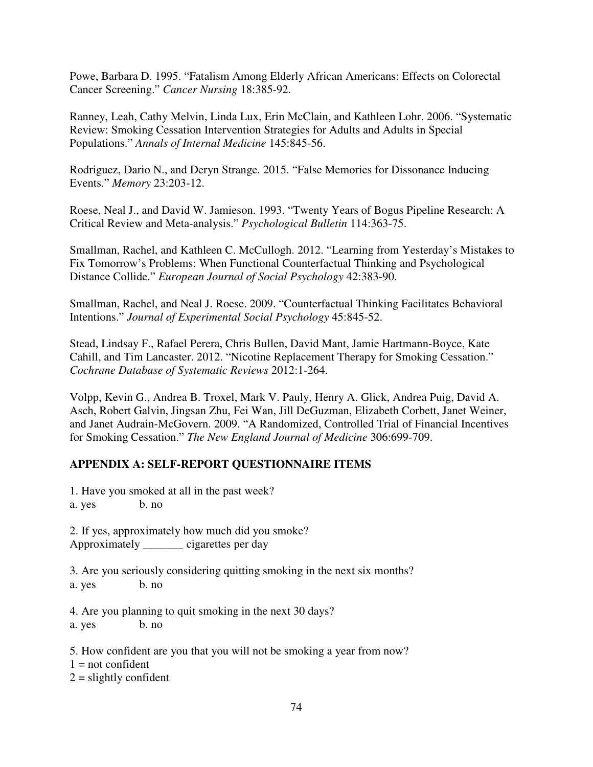Powe, Barbara D. 1995. "Fatalism Among Elderly African Americans: Effects on Colorectal Cancer Screening." *Cancer Nursing* 18:385-92.

Ranney, Leah, Cathy Melvin, Linda Lux, Erin McClain, and Kathleen Lohr. 2006. "Systematic Review: Smoking Cessation Intervention Strategies for Adults and Adults in Special Populations." *Annals of Internal Medicine* 145:845-56.

Rodriguez, Dario N., and Deryn Strange. 2015. "False Memories for Dissonance Inducing Events." *Memory* 23:203-12.

Roese, Neal J., and David W. Jamieson. 1993. "Twenty Years of Bogus Pipeline Research: A Critical Review and Meta-analysis." *Psychological Bulletin* 114:363-75.

Smallman, Rachel, and Kathleen C. McCullogh. 2012. "Learning from Yesterday's Mistakes to Fix Tomorrow's Problems: When Functional Counterfactual Thinking and Psychological Distance Collide." *European Journal of Social Psychology* 42:383-90.

Smallman, Rachel, and Neal J. Roese. 2009. "Counterfactual Thinking Facilitates Behavioral Intentions." *Journal of Experimental Social Psychology* 45:845-52.

Stead, Lindsay F., Rafael Perera, Chris Bullen, David Mant, Jamie Hartmann-Boyce, Kate Cahill, and Tim Lancaster. 2012. "Nicotine Replacement Therapy for Smoking Cessation." *Cochrane Database of Systematic Reviews* 2012:1-264.

Volpp, Kevin G., Andrea B. Troxel, Mark V. Pauly, Henry A. Glick, Andrea Puig, David A. Asch, Robert Galvin, Jingsan Zhu, Fei Wan, Jill DeGuzman, Elizabeth Corbett, Janet Weiner, and Janet Audrain-McGovern. 2009. "A Randomized, Controlled Trial of Financial Incentives for Smoking Cessation." *The New England Journal of Medicine* 306:699-709.

# **APPENDIX A: SELF-REPORT QUESTIONNAIRE ITEMS**

1. Have you smoked at all in the past week?

a. yes b. no

2. If yes, approximately how much did you smoke? Approximately cigarettes per day

3. Are you seriously considering quitting smoking in the next six months? a. yes b. no

4. Are you planning to quit smoking in the next 30 days?

a. yes b. no

5. How confident are you that you will not be smoking a year from now?  $1 = not confident$  $2 =$  slightly confident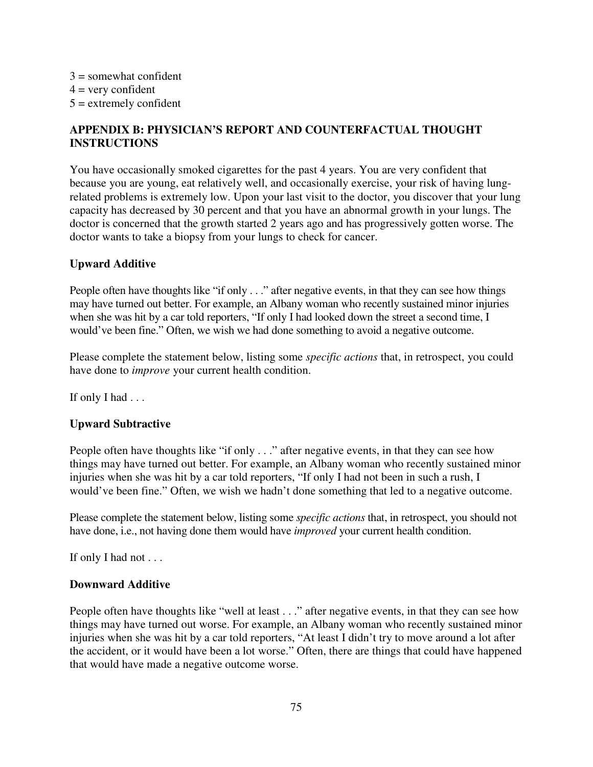$3 =$ somewhat confident  $4 =$  very confident  $5 =$  extremely confident

# **APPENDIX B: PHYSICIAN'S REPORT AND COUNTERFACTUAL THOUGHT INSTRUCTIONS**

You have occasionally smoked cigarettes for the past 4 years. You are very confident that because you are young, eat relatively well, and occasionally exercise, your risk of having lungrelated problems is extremely low. Upon your last visit to the doctor, you discover that your lung capacity has decreased by 30 percent and that you have an abnormal growth in your lungs. The doctor is concerned that the growth started 2 years ago and has progressively gotten worse. The doctor wants to take a biopsy from your lungs to check for cancer.

# **Upward Additive**

People often have thoughts like "if only . . ." after negative events, in that they can see how things may have turned out better. For example, an Albany woman who recently sustained minor injuries when she was hit by a car told reporters, "If only I had looked down the street a second time, I would've been fine." Often, we wish we had done something to avoid a negative outcome.

Please complete the statement below, listing some *specific actions* that, in retrospect, you could have done to *improve* your current health condition.

If only I had . . .

### **Upward Subtractive**

People often have thoughts like "if only . . ." after negative events, in that they can see how things may have turned out better. For example, an Albany woman who recently sustained minor injuries when she was hit by a car told reporters, "If only I had not been in such a rush, I would've been fine." Often, we wish we hadn't done something that led to a negative outcome.

Please complete the statement below, listing some *specific actions* that, in retrospect, you should not have done, i.e., not having done them would have *improved* your current health condition.

If only I had not . . .

### **Downward Additive**

People often have thoughts like "well at least . . ." after negative events, in that they can see how things may have turned out worse. For example, an Albany woman who recently sustained minor injuries when she was hit by a car told reporters, "At least I didn't try to move around a lot after the accident, or it would have been a lot worse." Often, there are things that could have happened that would have made a negative outcome worse.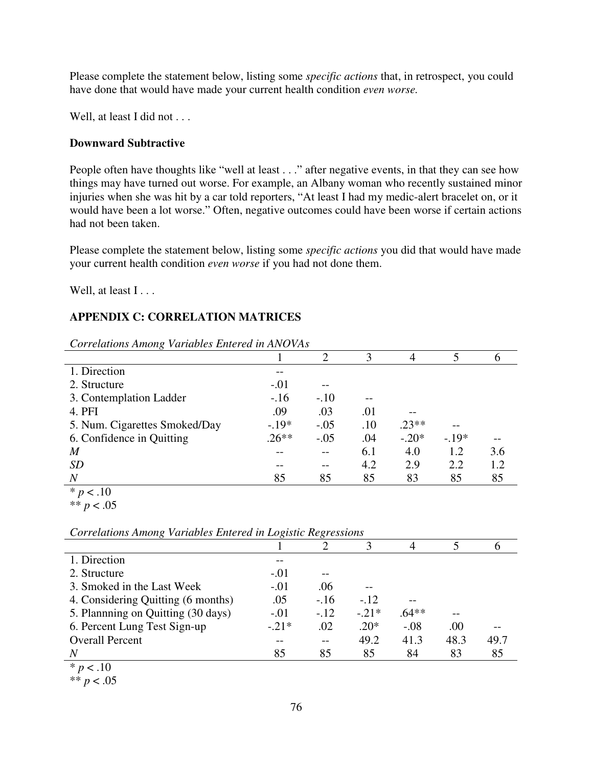Please complete the statement below, listing some *specific actions* that, in retrospect, you could have done that would have made your current health condition *even worse.* 

Well, at least I did not . . .

# **Downward Subtractive**

People often have thoughts like "well at least . . ." after negative events, in that they can see how things may have turned out worse. For example, an Albany woman who recently sustained minor injuries when she was hit by a car told reporters, "At least I had my medic-alert bracelet on, or it would have been a lot worse." Often, negative outcomes could have been worse if certain actions had not been taken.

Please complete the statement below, listing some *specific actions* you did that would have made your current health condition *even worse* if you had not done them.

Well, at least I...

# **APPENDIX C: CORRELATION MATRICES**

| Corretations Among variables Entered in ANOVAS |         |        |     |         |        |              |  |
|------------------------------------------------|---------|--------|-----|---------|--------|--------------|--|
|                                                |         | 2      | 3   | 4       |        | <sub>0</sub> |  |
| 1. Direction                                   |         |        |     |         |        |              |  |
| 2. Structure                                   | $-.01$  |        |     |         |        |              |  |
| 3. Contemplation Ladder                        | $-.16$  | $-.10$ | --  |         |        |              |  |
| 4. PFI                                         | .09     | .03    | .01 |         |        |              |  |
| 5. Num. Cigarettes Smoked/Day                  | $-.19*$ | $-.05$ | .10 | $.23**$ |        |              |  |
| 6. Confidence in Quitting                      | $.26**$ | $-.05$ | .04 | $-.20*$ | $-19*$ |              |  |
| M                                              |         |        | 6.1 | 4.0     | 1.2    | 3.6          |  |
| <i>SD</i>                                      |         |        | 4.2 | 2.9     | 2.2    | 1.2          |  |
| $\boldsymbol{N}$                               | 85      | 85     | 85  | 83      | 85     | 85           |  |
| $\mathbf{a}$<br>$\sim$                         |         |        |     |         |        |              |  |

*Correlations Among Variables Entered in ANOVAs*

 $* p < .10$ 

<sup>\*\*</sup> *p* < .05

| Correlations Among variables Entered in Eogistic Regressions |         |        |         |         |      |      |  |
|--------------------------------------------------------------|---------|--------|---------|---------|------|------|--|
|                                                              |         |        |         |         |      |      |  |
| 1. Direction                                                 |         |        |         |         |      |      |  |
| 2. Structure                                                 | $-.01$  |        |         |         |      |      |  |
| 3. Smoked in the Last Week                                   | $-.01$  | .06    |         |         |      |      |  |
| 4. Considering Quitting (6 months)                           | .05     | $-.16$ | $-.12$  |         |      |      |  |
| 5. Plannning on Quitting (30 days)                           | $-.01$  | $-.12$ | $-.21*$ | $.64**$ |      |      |  |
| 6. Percent Lung Test Sign-up                                 | $-.21*$ | .02    | $.20*$  | $-.08$  | .00  |      |  |
| <b>Overall Percent</b>                                       | --      |        | 49.2    | 41.3    | 48.3 | 49.7 |  |
| $\overline{N}$                                               | 85      | 85     | 85      | 84      | 83   | 85   |  |
| $*_{n}$ / 10                                                 |         |        |         |         |      |      |  |

*Correlations Among Variables Entered in Logistic Regressions*

 $* p < .10$ \*\* *p* < .05